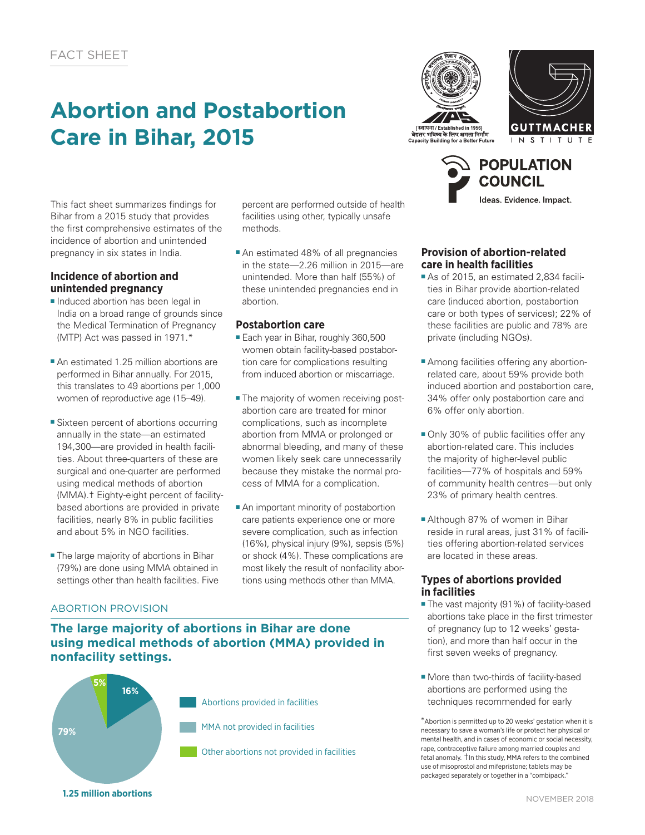# **Abortion and Postabortion Care in Bihar, 2015**





**POPULATION COUNCIL** 

Ideas. Evidence. Impact.

This fact sheet summarizes findings for Bihar from a 2015 study that provides the first comprehensive estimates of the incidence of abortion and unintended pregnancy in six states in India.

## **Incidence of abortion and unintended pregnancy**

- Induced abortion has been legal in India on a broad range of grounds since the Medical Termination of Pregnancy (MTP) Act was passed in 1971.\*
- An estimated 1.25 million abortions are performed in Bihar annually. For 2015, this translates to 49 abortions per 1,000 women of reproductive age (15–49).
- Sixteen percent of abortions occurring annually in the state—an estimated 194,300—are provided in health facilities. About three-quarters of these are surgical and one-quarter are performed using medical methods of abortion (MMA).† Eighty-eight percent of facilitybased abortions are provided in private facilities, nearly 8% in public facilities and about 5% in NGO facilities.
- The large majority of abortions in Bihar (79%) are done using MMA obtained in settings other than health facilities. Five

ABORTION PROVISION

percent are performed outside of health facilities using other, typically unsafe methods.

■ An estimated 48% of all pregnancies in the state—2.26 million in 2015—are unintended. More than half (55%) of these unintended pregnancies end in abortion.

# **Postabortion care**

- Each year in Bihar, roughly 360,500 women obtain facility-based postabortion care for complications resulting from induced abortion or miscarriage.
- The majority of women receiving postabortion care are treated for minor complications, such as incomplete abortion from MMA or prolonged or abnormal bleeding, and many of these women likely seek care unnecessarily because they mistake the normal process of MMA for a complication.
- An important minority of postabortion care patients experience one or more severe complication, such as infection (16%), physical injury (9%), sepsis (5%) or shock (4%). These complications are most likely the result of nonfacility abortions using methods other than MMA.

## **Provision of abortion-related care in health facilities**

- As of 2015, an estimated 2,834 facilities in Bihar provide abortion-related care (induced abortion, postabortion care or both types of services); 22% of these facilities are public and 78% are private (including NGOs).
- Among facilities offering any abortionrelated care, about 59% provide both induced abortion and postabortion care, 34% offer only postabortion care and 6% offer only abortion.
- Only 30% of public facilities offer any abortion-related care. This includes the majority of higher-level public facilities—77% of hospitals and 59% of community health centres—but only 23% of primary health centres.
- Although 87% of women in Bihar reside in rural areas, just 31% of facilities offering abortion-related services are located in these areas.

### **Types of abortions provided in facilities**

- The vast majority (91%) of facility-based abortions take place in the first trimester of pregnancy (up to 12 weeks' gestation), and more than half occur in the first seven weeks of pregnancy.
- More than two-thirds of facility-based abortions are performed using the techniques recommended for early

\*Abortion is permitted up to 20 weeks' gestation when it is necessary to save a woman's life or protect her physical or mental health, and in cases of economic or social necessity, rape, contraceptive failure among married couples and fetal anomaly. †In this study, MMA refers to the combined use of misoprostol and mifepristone; tablets may be packaged separately or together in a "combipack."

# **The large majority of abortions in Bihar are done using medical methods of abortion (MMA) provided in nonfacility settings.**